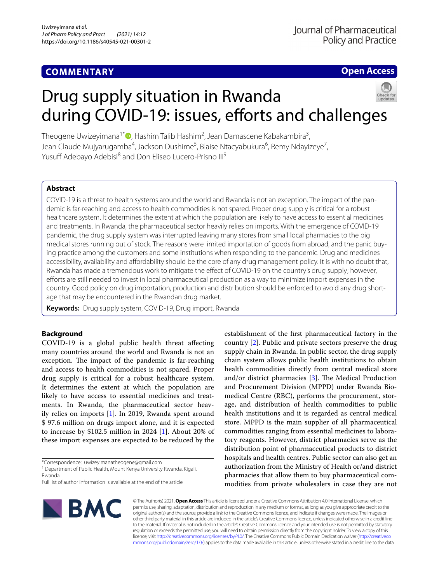# **COMMENTARY**

# **Open Access**

# Drug supply situation in Rwanda during COVID-19: issues, efforts and challenges

Theogene Uwizeyimana<sup>1\*</sup>©[,](http://orcid.org/0000-0002-1360-0211) Hashim Talib Hashim<sup>2</sup>, Jean Damascene Kabakambira<sup>3</sup>, Jean Claude Mujyarugamba<sup>4</sup>, Jackson Dushime<sup>5</sup>, Blaise Ntacyabukura<sup>6</sup>, Remy Ndayizeye<sup>7</sup>, Yusuff Adebayo Adebisi<sup>8</sup> and Don Eliseo Lucero-Prisno III<sup>9</sup>

# **Abstract**

COVID-19 is a threat to health systems around the world and Rwanda is not an exception. The impact of the pandemic is far-reaching and access to health commodities is not spared. Proper drug supply is critical for a robust healthcare system. It determines the extent at which the population are likely to have access to essential medicines and treatments. In Rwanda, the pharmaceutical sector heavily relies on imports. With the emergence of COVID-19 pandemic, the drug supply system was interrupted leaving many stores from small local pharmacies to the big medical stores running out of stock. The reasons were limited importation of goods from abroad, and the panic buying practice among the customers and some institutions when responding to the pandemic. Drug and medicines accessibility, availability and afordability should be the core of any drug management policy. It is with no doubt that, Rwanda has made a tremendous work to mitigate the effect of COVID-19 on the country's drug supply; however, efforts are still needed to invest in local pharmaceutical production as a way to minimize import expenses in the country. Good policy on drug importation, production and distribution should be enforced to avoid any drug shortage that may be encountered in the Rwandan drug market.

**Keywords:** Drug supply system, COVID-19, Drug import, Rwanda

# **Background**

COVID-19 is a global public health threat afecting many countries around the world and Rwanda is not an exception. The impact of the pandemic is far-reaching and access to health commodities is not spared. Proper drug supply is critical for a robust healthcare system. It determines the extent at which the population are likely to have access to essential medicines and treatments. In Rwanda, the pharmaceutical sector heavily relies on imports [[1\]](#page-3-0). In 2019, Rwanda spent around \$ 97.6 million on drugs import alone, and it is expected to increase by \$102.5 million in 2024  $[1]$  $[1]$ . About 20% of these import expenses are expected to be reduced by the

\*Correspondence: uwizeyimanatheogene@gmail.com

<sup>1</sup> Department of Public Health, Mount Kenya University Rwanda, Kigali, Rwanda

establishment of the frst pharmaceutical factory in the country [[2\]](#page-3-1). Public and private sectors preserve the drug supply chain in Rwanda. In public sector, the drug supply chain system allows public health institutions to obtain health commodities directly from central medical store and/or district pharmacies  $[3]$  $[3]$ . The Medical Production and Procurement Division (MPPD) under Rwanda Biomedical Centre (RBC), performs the procurement, storage, and distribution of health commodities to public health institutions and it is regarded as central medical store. MPPD is the main supplier of all pharmaceutical commodities ranging from essential medicines to laboratory reagents. However, district pharmacies serve as the distribution point of pharmaceutical products to district hospitals and health centres. Public sector can also get an authorization from the Ministry of Health or/and district pharmacies that allow them to buy pharmaceutical commodities from private wholesalers in case they are not



© The Author(s) 2021. **Open Access** This article is licensed under a Creative Commons Attribution 4.0 International License, which permits use, sharing, adaptation, distribution and reproduction in any medium or format, as long as you give appropriate credit to the original author(s) and the source, provide a link to the Creative Commons licence, and indicate if changes were made. The images or other third party material in this article are included in the article's Creative Commons licence, unless indicated otherwise in a credit line to the material. If material is not included in the article's Creative Commons licence and your intended use is not permitted by statutory regulation or exceeds the permitted use, you will need to obtain permission directly from the copyright holder. To view a copy of this licence, visit [http://creativecommons.org/licenses/by/4.0/.](http://creativecommons.org/licenses/by/4.0/) The Creative Commons Public Domain Dedication waiver ([http://creativeco](http://creativecommons.org/publicdomain/zero/1.0/) [mmons.org/publicdomain/zero/1.0/](http://creativecommons.org/publicdomain/zero/1.0/)) applies to the data made available in this article, unless otherwise stated in a credit line to the data.

Full list of author information is available at the end of the article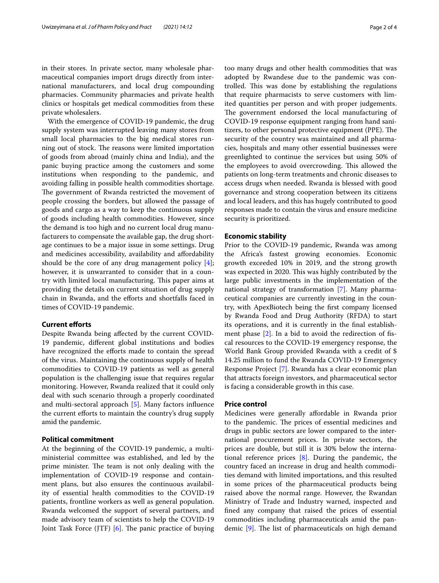in their stores. In private sector, many wholesale pharmaceutical companies import drugs directly from international manufacturers, and local drug compounding pharmacies. Community pharmacies and private health clinics or hospitals get medical commodities from these private wholesalers.

With the emergence of COVID-19 pandemic, the drug supply system was interrupted leaving many stores from small local pharmacies to the big medical stores running out of stock. The reasons were limited importation of goods from abroad (mainly china and India), and the panic buying practice among the customers and some institutions when responding to the pandemic, and avoiding falling in possible health commodities shortage. The government of Rwanda restricted the movement of people crossing the borders, but allowed the passage of goods and cargo as a way to keep the continuous supply of goods including health commodities. However, since the demand is too high and no current local drug manufacturers to compensate the available gap, the drug shortage continues to be a major issue in some settings. Drug and medicines accessibility, availability and afordability should be the core of any drug management policy [\[4](#page-3-3)]; however, it is unwarranted to consider that in a country with limited local manufacturing. This paper aims at providing the details on current situation of drug supply chain in Rwanda, and the eforts and shortfalls faced in times of COVID-19 pandemic.

# **Current eforts**

Despite Rwanda being afected by the current COVID-19 pandemic, diferent global institutions and bodies have recognized the efforts made to contain the spread of the virus. Maintaining the continuous supply of health commodities to COVID-19 patients as well as general population is the challenging issue that requires regular monitoring. However, Rwanda realized that it could only deal with such scenario through a properly coordinated and multi-sectoral approach [\[5](#page-3-4)]. Many factors infuence the current efforts to maintain the country's drug supply amid the pandemic.

# **Political commitment**

At the beginning of the COVID-19 pandemic, a multiministerial committee was established, and led by the prime minister. The team is not only dealing with the implementation of COVID-19 response and containment plans, but also ensures the continuous availability of essential health commodities to the COVID-19 patients, frontline workers as well as general population. Rwanda welcomed the support of several partners, and made advisory team of scientists to help the COVID-19 Joint Task Force (JTF)  $[6]$  $[6]$ . The panic practice of buying too many drugs and other health commodities that was adopted by Rwandese due to the pandemic was controlled. This was done by establishing the regulations that require pharmacists to serve customers with limited quantities per person and with proper judgements. The government endorsed the local manufacturing of COVID-19 response equipment ranging from hand sanitizers, to other personal protective equipment (PPE). The security of the country was maintained and all pharmacies, hospitals and many other essential businesses were greenlighted to continue the services but using 50% of the employees to avoid overcrowding. This allowed the patients on long-term treatments and chronic diseases to access drugs when needed. Rwanda is blessed with good governance and strong cooperation between its citizens and local leaders, and this has hugely contributed to good responses made to contain the virus and ensure medicine security is prioritized.

# **Economic stability**

Prior to the COVID-19 pandemic, Rwanda was among the Africa's fastest growing economies. Economic growth exceeded 10% in 2019, and the strong growth was expected in 2020. This was highly contributed by the large public investments in the implementation of the national strategy of transformation [[7\]](#page-3-6). Many pharmaceutical companies are currently investing in the country, with ApexBiotech being the frst company licensed by Rwanda Food and Drug Authority (RFDA) to start its operations, and it is currently in the fnal establishment phase [[2\]](#page-3-1). In a bid to avoid the redirection of fscal resources to the COVID-19 emergency response, the World Bank Group provided Rwanda with a credit of \$ 14.25 million to fund the Rwanda COVID-19 Emergency Response Project [[7\]](#page-3-6). Rwanda has a clear economic plan that attracts foreign investors, and pharmaceutical sector is facing a considerable growth in this case.

#### **Price control**

Medicines were generally afordable in Rwanda prior to the pandemic. The prices of essential medicines and drugs in public sectors are lower compared to the international procurement prices. In private sectors, the prices are double, but still it is 30% below the international reference prices [\[8](#page-3-7)]. During the pandemic, the country faced an increase in drug and health commodities demand with limited importations, and this resulted in some prices of the pharmaceutical products being raised above the normal range. However, the Rwandan Ministry of Trade and Industry warned, inspected and fned any company that raised the prices of essential commodities including pharmaceuticals amid the pandemic  $[9]$  $[9]$ . The list of pharmaceuticals on high demand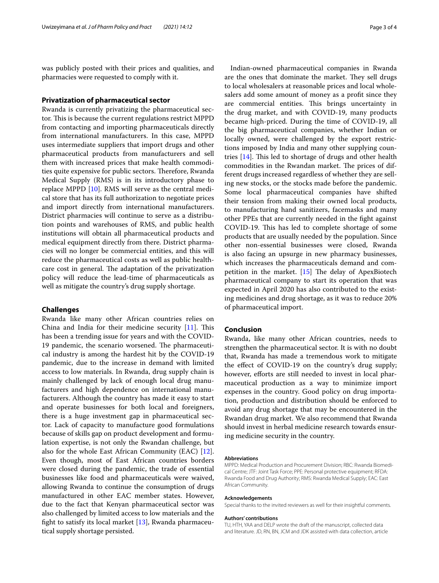was publicly posted with their prices and qualities, and pharmacies were requested to comply with it.

# **Privatization of pharmaceutical sector**

Rwanda is currently privatizing the pharmaceutical sector. This is because the current regulations restrict MPPD from contacting and importing pharmaceuticals directly from international manufacturers. In this case, MPPD uses intermediate suppliers that import drugs and other pharmaceutical products from manufacturers and sell them with increased prices that make health commodities quite expensive for public sectors. Therefore, Rwanda Medical Supply (RMS) is in its introductory phase to replace MPPD [[10\]](#page-3-9). RMS will serve as the central medical store that has its full authorization to negotiate prices and import directly from international manufacturers. District pharmacies will continue to serve as a distribution points and warehouses of RMS, and public health institutions will obtain all pharmaceutical products and medical equipment directly from there. District pharmacies will no longer be commercial entities, and this will reduce the pharmaceutical costs as well as public healthcare cost in general. The adaptation of the privatization policy will reduce the lead-time of pharmaceuticals as well as mitigate the country's drug supply shortage.

## **Challenges**

Rwanda like many other African countries relies on China and India for their medicine security  $[11]$  $[11]$ . This has been a trending issue for years and with the COVID-19 pandemic, the scenario worsened. The pharmaceutical industry is among the hardest hit by the COVID-19 pandemic, due to the increase in demand with limited access to low materials. In Rwanda, drug supply chain is mainly challenged by lack of enough local drug manufacturers and high dependence on international manufacturers. Although the country has made it easy to start and operate businesses for both local and foreigners, there is a huge investment gap in pharmaceutical sector. Lack of capacity to manufacture good formulations because of skills gap on product development and formulation expertise, is not only the Rwandan challenge, but also for the whole East African Community (EAC) [\[12](#page-3-11)]. Even though, most of East African countries borders were closed during the pandemic, the trade of essential businesses like food and pharmaceuticals were waived, allowing Rwanda to continue the consumption of drugs manufactured in other EAC member states. However, due to the fact that Kenyan pharmaceutical sector was also challenged by limited access to low materials and the fght to satisfy its local market [[13](#page-3-12)], Rwanda pharmaceutical supply shortage persisted.

Indian-owned pharmaceutical companies in Rwanda are the ones that dominate the market. They sell drugs to local wholesalers at reasonable prices and local wholesalers add some amount of money as a proft since they are commercial entities. This brings uncertainty in the drug market, and with COVID-19, many products became high-priced. During the time of COVID-19, all the big pharmaceutical companies, whether Indian or locally owned, were challenged by the export restrictions imposed by India and many other supplying countries  $[14]$  $[14]$ . This led to shortage of drugs and other health commodities in the Rwandan market. The prices of different drugs increased regardless of whether they are selling new stocks, or the stocks made before the pandemic. Some local pharmaceutical companies have shifted their tension from making their owned local products, to manufacturing hand sanitizers, facemasks and many other PPEs that are currently needed in the fght against COVID-19. This has led to complete shortage of some products that are usually needed by the population. Since other non-essential businesses were closed, Rwanda is also facing an upsurge in new pharmacy businesses, which increases the pharmaceuticals demand and competition in the market.  $[15]$  $[15]$  $[15]$  The delay of ApexBiotech pharmaceutical company to start its operation that was expected in April 2020 has also contributed to the existing medicines and drug shortage, as it was to reduce 20% of pharmaceutical import.

# **Conclusion**

Rwanda, like many other African countries, needs to strengthen the pharmaceutical sector. It is with no doubt that, Rwanda has made a tremendous work to mitigate the efect of COVID-19 on the country's drug supply; however, efforts are still needed to invest in local pharmaceutical production as a way to minimize import expenses in the country. Good policy on drug importation, production and distribution should be enforced to avoid any drug shortage that may be encountered in the Rwandan drug market. We also recommend that Rwanda should invest in herbal medicine research towards ensuring medicine security in the country.

#### **Abbreviations**

MPPD: Medical Production and Procurement Division; RBC: Rwanda Biomedi‑ cal Centre; JTF: Joint Task Force; PPE: Personal protective equipment; RFDA: Rwanda Food and Drug Authority; RMS: Rwanda Medical Supply; EAC: East African Community.

#### **Acknowledgements**

Special thanks to the invited reviewers as well for their insightful comments.

#### **Authors' contributions**

TU, HTH, YAA and DELP wrote the draft of the manuscript, collected data and literature. JD, RN, BN, JCM and JDK assisted with data collection, article